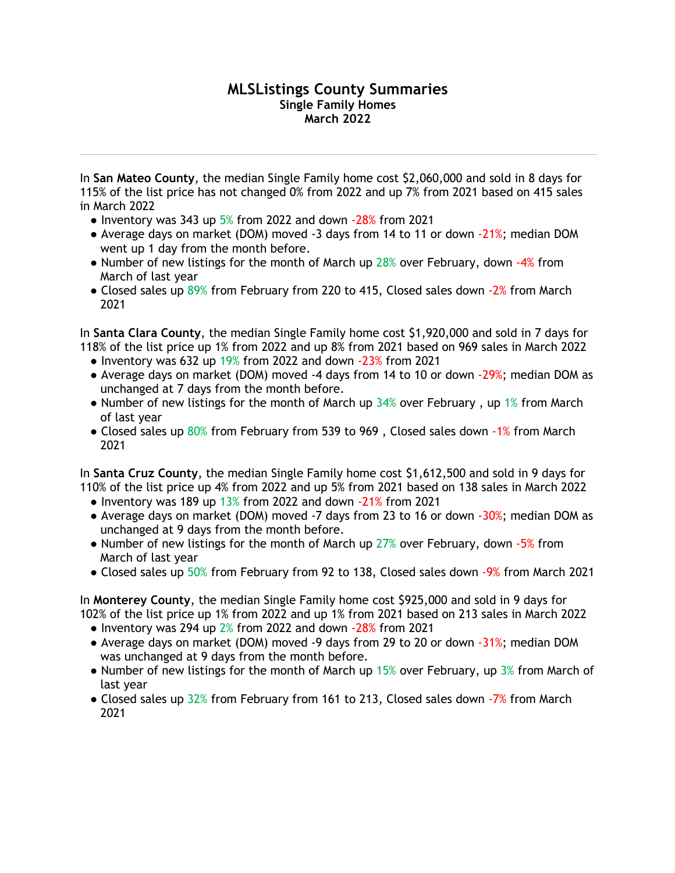## **MLSListings County Summaries Single Family Homes March 2022**

In **San Mateo County**, the median Single Family home cost \$2,060,000 and sold in 8 days for 115% of the list price has not changed 0% from 2022 and up 7% from 2021 based on 415 sales in March 2022

- $\bullet$  Inventory was 343 up 5% from 2022 and down  $-28\%$  from 2021
- Average days on market (DOM) moved -3 days from 14 to 11 or down -21%; median DOM went up 1 day from the month before.
- Number of new listings for the month of March up 28% over February, down -4% from March of last year
- Closed sales up 89% from February from 220 to 415, Closed sales down -2% from March 2021

In **Santa Clara County**, the median Single Family home cost \$1,920,000 and sold in 7 days for 118% of the list price up 1% from 2022 and up 8% from 2021 based on 969 sales in March 2022

- Inventory was 632 up  $19\%$  from 2022 and down  $-23\%$  from 2021
- Average days on market (DOM) moved -4 days from 14 to 10 or down -29%; median DOM as unchanged at 7 days from the month before.
- Number of new listings for the month of March up  $34%$  over February, up 1% from March of last year
- Closed sales up 80% from February from 539 to 969, Closed sales down -1% from March 2021

In **Santa Cruz County**, the median Single Family home cost \$1,612,500 and sold in 9 days for 110% of the list price up 4% from 2022 and up 5% from 2021 based on 138 sales in March 2022

- Inventory was 189 up 13% from 2022 and down -21% from 2021
- Average days on market (DOM) moved -7 days from 23 to 16 or down -30%; median DOM as unchanged at 9 days from the month before.
- Number of new listings for the month of March up 27% over February, down -5% from March of last year
- Closed sales up 50% from February from 92 to 138, Closed sales down -9% from March 2021

In **Monterey County**, the median Single Family home cost \$925,000 and sold in 9 days for 102% of the list price up 1% from 2022 and up 1% from 2021 based on 213 sales in March 2022

- Inventory was 294 up 2% from 2022 and down -28% from 2021
- Average days on market (DOM) moved -9 days from 29 to 20 or down -31%; median DOM was unchanged at 9 days from the month before.
- Number of new listings for the month of March up  $15%$  over February, up  $3%$  from March of last year
- Closed sales up 32% from February from 161 to 213, Closed sales down -7% from March 2021